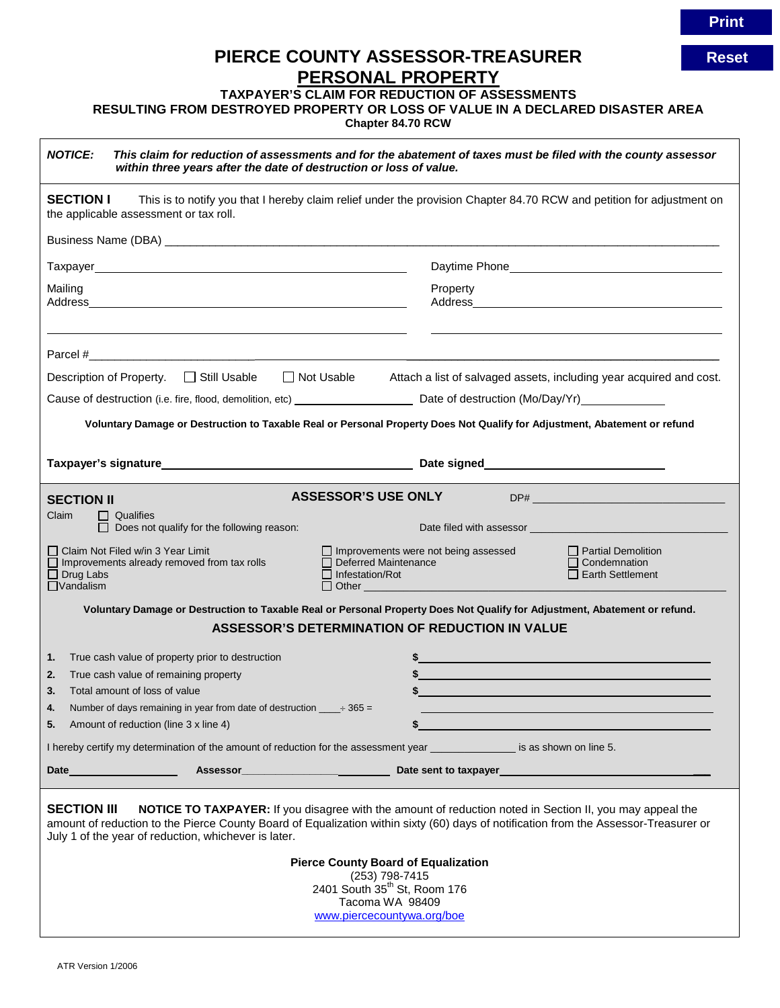**Reset**

# **PIERCE COUNTY ASSESSOR-TREASURER PERSONAL PROPERTY**

#### **TAXPAYER'S CLAIM FOR REDUCTION OF ASSESSMENTS**

**RESULTING FROM DESTROYED PROPERTY OR LOSS OF VALUE IN A DECLARED DISASTER AREA**

**Chapter 84.70 RCW** 

| <b>NOTICE:</b><br>This claim for reduction of assessments and for the abatement of taxes must be filed with the county assessor<br>within three years after the date of destruction or loss of value.                                                                                                                          |                                                                                                                                                                                                                                 |
|--------------------------------------------------------------------------------------------------------------------------------------------------------------------------------------------------------------------------------------------------------------------------------------------------------------------------------|---------------------------------------------------------------------------------------------------------------------------------------------------------------------------------------------------------------------------------|
| <b>SECTION I</b><br>This is to notify you that I hereby claim relief under the provision Chapter 84.70 RCW and petition for adjustment on<br>the applicable assessment or tax roll.                                                                                                                                            |                                                                                                                                                                                                                                 |
|                                                                                                                                                                                                                                                                                                                                |                                                                                                                                                                                                                                 |
|                                                                                                                                                                                                                                                                                                                                |                                                                                                                                                                                                                                 |
| Mailing<br>Address<br><u> 1989 - Johann Barbara, martin amerikan basar dan berasal dalam basa dan berasal dalam basa dalam basa dalam </u>                                                                                                                                                                                     | Property                                                                                                                                                                                                                        |
|                                                                                                                                                                                                                                                                                                                                |                                                                                                                                                                                                                                 |
| Description of Property. □ Still Usable<br>□ Not Usable<br>Attach a list of salvaged assets, including year acquired and cost.                                                                                                                                                                                                 |                                                                                                                                                                                                                                 |
|                                                                                                                                                                                                                                                                                                                                |                                                                                                                                                                                                                                 |
| Voluntary Damage or Destruction to Taxable Real or Personal Property Does Not Qualify for Adjustment, Abatement or refund                                                                                                                                                                                                      |                                                                                                                                                                                                                                 |
|                                                                                                                                                                                                                                                                                                                                |                                                                                                                                                                                                                                 |
| <b>ASSESSOR'S USE ONLY</b><br><b>SECTION II</b><br>$\Box$ Qualifies<br>Claim<br>$\Box$ Does not qualify for the following reason:                                                                                                                                                                                              |                                                                                                                                                                                                                                 |
| □ Claim Not Filed w/in 3 Year Limit<br>$\Box$ Improvements already removed from tax rolls<br>$\Box$ Drug Labs<br>$\Box$ Vandalism                                                                                                                                                                                              | $\Box$ Improvements were not being assessed<br>$\Box$ Partial Demolition<br>$\Box$ Deferred Maintenance<br>$\Box$ Condemnation<br>$\Box$ Earth Settlement<br>$\Box$ Infestation/Rot<br>$\Box$ Other than the contract of $\Box$ |
| Voluntary Damage or Destruction to Taxable Real or Personal Property Does Not Qualify for Adjustment, Abatement or refund.                                                                                                                                                                                                     |                                                                                                                                                                                                                                 |
| <b>ASSESSOR'S DETERMINATION OF REDUCTION IN VALUE</b>                                                                                                                                                                                                                                                                          |                                                                                                                                                                                                                                 |
| True cash value of property prior to destruction<br>1.                                                                                                                                                                                                                                                                         |                                                                                                                                                                                                                                 |
| True cash value of remaining property<br>2.                                                                                                                                                                                                                                                                                    | \$                                                                                                                                                                                                                              |
| Total amount of loss of value<br>3.<br>Number of days remaining in year from date of destruction _____ ÷ 365 =<br>4.                                                                                                                                                                                                           |                                                                                                                                                                                                                                 |
| Amount of reduction (line 3 x line 4)<br>5.                                                                                                                                                                                                                                                                                    |                                                                                                                                                                                                                                 |
| I hereby certify my determination of the amount of reduction for the assessment year ________________ is as shown on line 5.                                                                                                                                                                                                   |                                                                                                                                                                                                                                 |
|                                                                                                                                                                                                                                                                                                                                |                                                                                                                                                                                                                                 |
| <b>SECTION III</b><br>NOTICE TO TAXPAYER: If you disagree with the amount of reduction noted in Section II, you may appeal the<br>amount of reduction to the Pierce County Board of Equalization within sixty (60) days of notification from the Assessor-Treasurer or<br>July 1 of the year of reduction, whichever is later. |                                                                                                                                                                                                                                 |
| <b>Pierce County Board of Equalization</b>                                                                                                                                                                                                                                                                                     |                                                                                                                                                                                                                                 |
| (253) 798-7415<br>2401 South 35 <sup>th</sup> St, Room 176<br>Tacoma WA 98409                                                                                                                                                                                                                                                  |                                                                                                                                                                                                                                 |
|                                                                                                                                                                                                                                                                                                                                | www.piercecountywa.org/boe                                                                                                                                                                                                      |